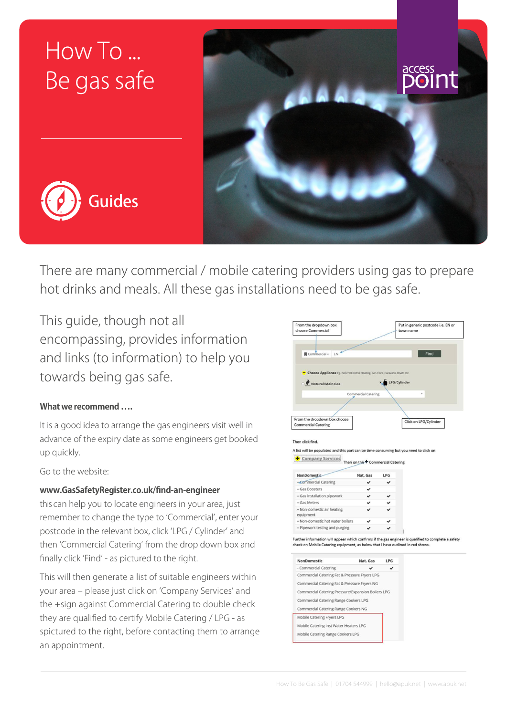# How To ... Be gas safe





There are many commercial / mobile catering providers using gas to prepare hot drinks and meals. All these gas installations need to be gas safe.

This guide, though not all encompassing, provides information and links (to information) to help you towards being gas safe.

## **What we recommend ….**

It is a good idea to arrange the gas engineers visit well in advance of the expiry date as some engineers get booked up quickly.

Go to the website:

#### **[www.GasSafetyRegister.co.uk/find-an-engineer](http://www.GasSafetyRegister.co.uk/find-an-engineer/)**

this can help you to locate engineers in your area, just remember to change the type to 'Commercial', enter your postcode in the relevant box, click 'LPG / Cylinder' and then 'Commercial Catering' from the drop down box and finally click 'Find' - as pictured to the right.

This will then generate a list of suitable engineers within your area – please just click on 'Company Services' and the +sign against Commercial Catering to double check they are qualified to certify Mobile Catering / LPG - as spictured to the right, before contacting them to arrange an appointment.



| <b>NonDomestic</b>                      | Nat. Gas | <b>LPG</b> |
|-----------------------------------------|----------|------------|
| + Commercial Catering                   |          |            |
| + Gas Boosters                          |          |            |
| + Gas installation pipework             |          |            |
| + Gas Meters                            |          |            |
| + Non-domestic air heating<br>equipment |          |            |
| + Non-domestic hot water boilers        |          |            |
| + Pipework testing and purging          |          |            |

Further information will appear which confirms if the gas engineer is qualified to complete a safet<sub>)</sub><br>check on Mobile Catering equipment, as below that I have outlined in red shows.

| <b>NonDomestic</b>                                 | Nat. Gas | <b>LPG</b> |
|----------------------------------------------------|----------|------------|
| - Commercial Catering                              |          |            |
| Commercial Catering Fat & Pressure Fryers LPG      |          |            |
| Commercial Catering Fat & Pressure Fryers NG       |          |            |
| Commercial Catering Pressure/Expansion Boilers LPG |          |            |
| Commercial Catering Range Cookers LPG              |          |            |
| Commercial Catering Range Cookers NG               |          |            |
| Mobile Catering Fryers LPG                         |          |            |
| Mobile Catering Inst Water Heaters LPG             |          |            |
| Mobile Catering Range Cookers LPG                  |          |            |